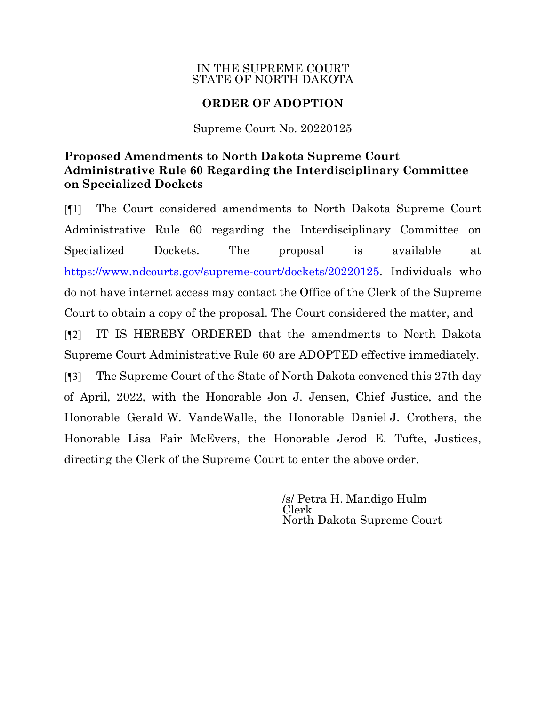## IN THE SUPREME COURT STATE OF NORTH DAKOTA

## **ORDER OF ADOPTION**

Supreme Court No. 20220125

## **Proposed Amendments to North Dakota Supreme Court Administrative Rule 60 Regarding the Interdisciplinary Committee on Specialized Dockets**

[¶1] The Court considered amendments to North Dakota Supreme Court Administrative Rule 60 regarding the Interdisciplinary Committee on Specialized Dockets. The proposal is available at [https://www.ndcourts.gov/supreme-court/dockets/2](https://www.ndcourts.gov/supreme-court/dockets/)0220125. Individuals who do not have internet access may contact the Office of the Clerk of the Supreme Court to obtain a copy of the proposal. The Court considered the matter, and [¶2] IT IS HEREBY ORDERED that the amendments to North Dakota Supreme Court Administrative Rule 60 are ADOPTED effective immediately. [¶3] The Supreme Court of the State of North Dakota convened this 27th day of April, 2022, with the Honorable Jon J. Jensen, Chief Justice, and the Honorable Gerald W. VandeWalle, the Honorable Daniel J. Crothers, the Honorable Lisa Fair McEvers, the Honorable Jerod E. Tufte, Justices, directing the Clerk of the Supreme Court to enter the above order.

> /s/ Petra H. Mandigo Hulm Clerk North Dakota Supreme Court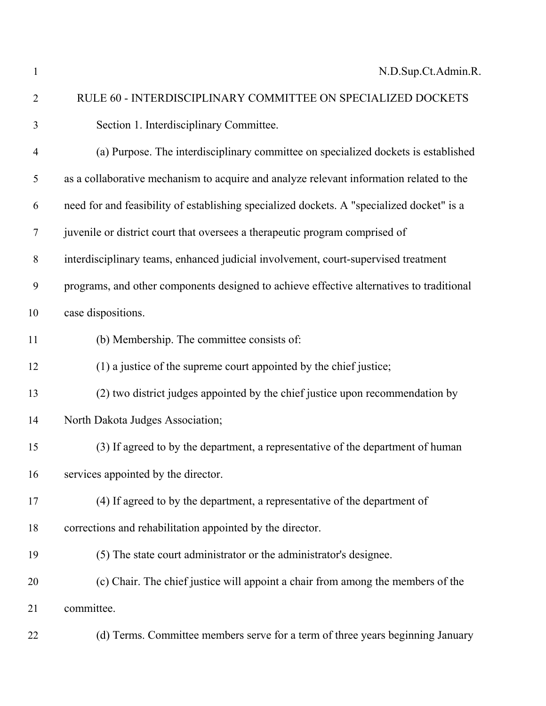N.D.Sup.Ct.Admin.R.

 RULE 60 - INTERDISCIPLINARY COMMITTEE ON SPECIALIZED DOCKETS Section 1. Interdisciplinary Committee. (a) Purpose. The interdisciplinary committee on specialized dockets is established as a collaborative mechanism to acquire and analyze relevant information related to the need for and feasibility of establishing specialized dockets. A "specialized docket" is a juvenile or district court that oversees a therapeutic program comprised of interdisciplinary teams, enhanced judicial involvement, court-supervised treatment programs, and other components designed to achieve effective alternatives to traditional case dispositions. (b) Membership. The committee consists of: (1) a justice of the supreme court appointed by the chief justice; (2) two district judges appointed by the chief justice upon recommendation by North Dakota Judges Association; (3) If agreed to by the department, a representative of the department of human services appointed by the director. (4) If agreed to by the department, a representative of the department of corrections and rehabilitation appointed by the director. (5) The state court administrator or the administrator's designee. (c) Chair. The chief justice will appoint a chair from among the members of the committee.

(d) Terms. Committee members serve for a term of three years beginning January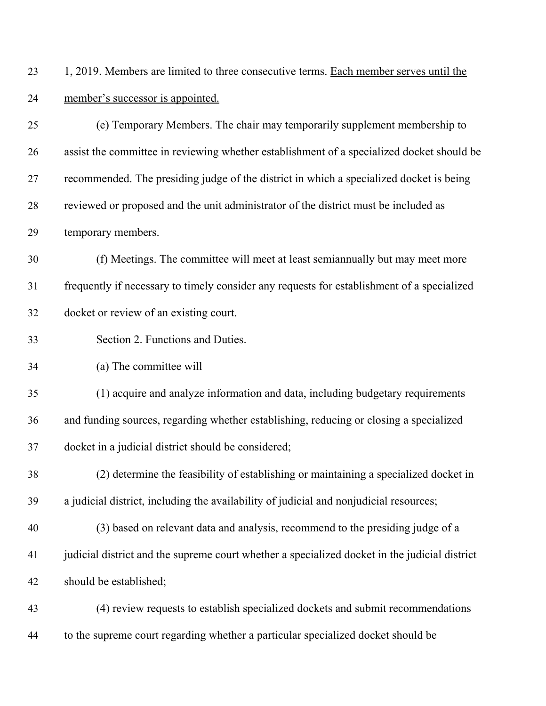23 1, 2019. Members are limited to three consecutive terms. Each member serves until the member's successor is appointed.

| 25 | (e) Temporary Members. The chair may temporarily supplement membership to                     |
|----|-----------------------------------------------------------------------------------------------|
| 26 | assist the committee in reviewing whether establishment of a specialized docket should be     |
| 27 | recommended. The presiding judge of the district in which a specialized docket is being       |
| 28 | reviewed or proposed and the unit administrator of the district must be included as           |
| 29 | temporary members.                                                                            |
| 30 | (f) Meetings. The committee will meet at least semian nually but may meet more                |
| 31 | frequently if necessary to timely consider any requests for establishment of a specialized    |
| 32 | docket or review of an existing court.                                                        |
| 33 | Section 2. Functions and Duties.                                                              |
| 34 | (a) The committee will                                                                        |
| 35 | (1) acquire and analyze information and data, including budgetary requirements                |
| 36 | and funding sources, regarding whether establishing, reducing or closing a specialized        |
| 37 | docket in a judicial district should be considered;                                           |
| 38 | (2) determine the feasibility of establishing or maintaining a specialized docket in          |
| 39 | a judicial district, including the availability of judicial and nonjudicial resources;        |
| 40 | (3) based on relevant data and analysis, recommend to the presiding judge of a                |
| 41 | judicial district and the supreme court whether a specialized docket in the judicial district |
| 42 | should be established;                                                                        |
| 43 | (4) review requests to establish specialized dockets and submit recommendations               |
| 44 | to the supreme court regarding whether a particular specialized docket should be              |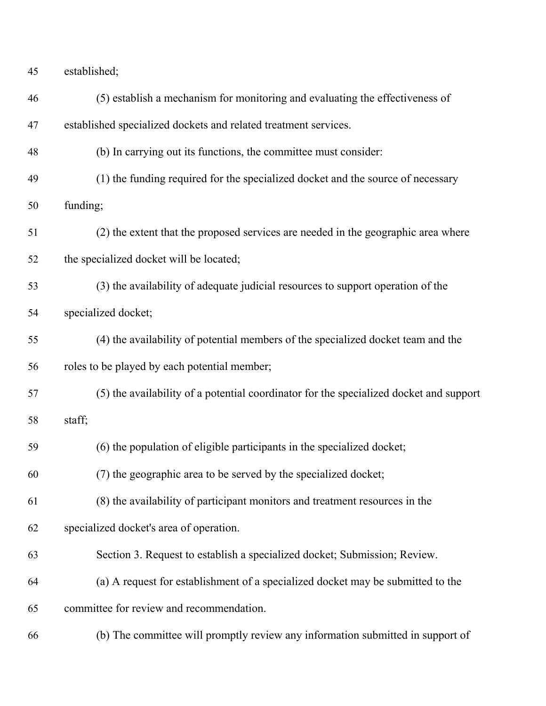| 45 | established; |
|----|--------------|
|    |              |

| 46 | (5) establish a mechanism for monitoring and evaluating the effectiveness of           |  |
|----|----------------------------------------------------------------------------------------|--|
| 47 | established specialized dockets and related treatment services.                        |  |
| 48 | (b) In carrying out its functions, the committee must consider:                        |  |
| 49 | (1) the funding required for the specialized docket and the source of necessary        |  |
| 50 | funding;                                                                               |  |
| 51 | (2) the extent that the proposed services are needed in the geographic area where      |  |
| 52 | the specialized docket will be located;                                                |  |
| 53 | (3) the availability of adequate judicial resources to support operation of the        |  |
| 54 | specialized docket;                                                                    |  |
| 55 | (4) the availability of potential members of the specialized docket team and the       |  |
| 56 | roles to be played by each potential member;                                           |  |
| 57 | (5) the availability of a potential coordinator for the specialized docket and support |  |
| 58 | staff;                                                                                 |  |
| 59 | (6) the population of eligible participants in the specialized docket;                 |  |
| 60 | (7) the geographic area to be served by the specialized docket;                        |  |
| 61 | (8) the availability of participant monitors and treatment resources in the            |  |
| 62 | specialized docket's area of operation.                                                |  |
| 63 | Section 3. Request to establish a specialized docket; Submission; Review.              |  |
| 64 | (a) A request for establishment of a specialized docket may be submitted to the        |  |
| 65 | committee for review and recommendation.                                               |  |
| 66 | (b) The committee will promptly review any information submitted in support of         |  |